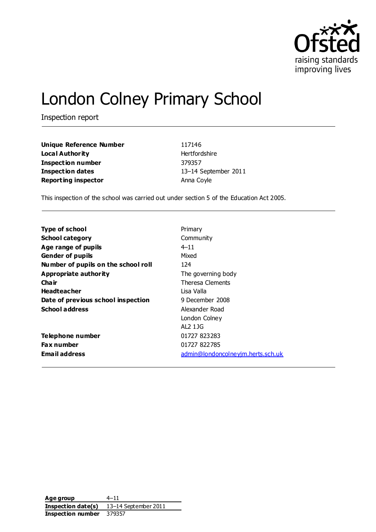

# London Colney Primary School

Inspection report

| <b>Unique Reference Number</b> | 117146               |
|--------------------------------|----------------------|
| Local Authority                | Hertfordshire        |
| Inspection number              | 379357               |
| Inspection dates               | 13-14 September 2011 |
| Reporting inspector            | Anna Coyle           |

This inspection of the school was carried out under section 5 of the Education Act 2005.

| <b>Type of school</b>               | Primary                           |
|-------------------------------------|-----------------------------------|
| <b>School category</b>              | Community                         |
| Age range of pupils                 | $4 - 11$                          |
| <b>Gender of pupils</b>             | Mixed                             |
| Number of pupils on the school roll | 124                               |
| Appropriate authority               | The governing body                |
| Cha ir                              | Theresa Clements                  |
| <b>Headteacher</b>                  | Lisa Valla                        |
| Date of previous school inspection  | 9 December 2008                   |
| <b>School address</b>               | Alexander Road                    |
|                                     | London Colney                     |
|                                     | AL2 1.1G                          |
| Telephone number                    | 01727 823283                      |
| <b>Fax number</b>                   | 01727 822785                      |
| <b>Email address</b>                | admin@londoncolneyjm.herts.sch.uk |

**Age group** 4–11 **Inspection date(s)** 13–14 September 2011 **Inspection number** 379357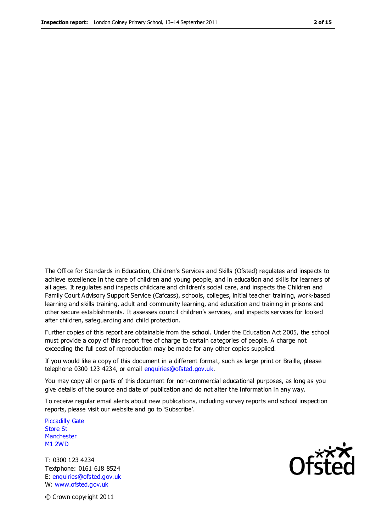The Office for Standards in Education, Children's Services and Skills (Ofsted) regulates and inspects to achieve excellence in the care of children and young people, and in education and skills for learners of all ages. It regulates and inspects childcare and children's social care, and inspects the Children and Family Court Advisory Support Service (Cafcass), schools, colleges, initial teacher training, work-based learning and skills training, adult and community learning, and education and training in prisons and other secure establishments. It assesses council children's services, and inspects services for looked after children, safeguarding and child protection.

Further copies of this report are obtainable from the school. Under the Education Act 2005, the school must provide a copy of this report free of charge to certain categories of people. A charge not exceeding the full cost of reproduction may be made for any other copies supplied.

If you would like a copy of this document in a different format, such as large print or Braille, please telephone 0300 123 4234, or email enquiries@ofsted.gov.uk.

You may copy all or parts of this document for non-commercial educational purposes, as long as you give details of the source and date of publication and do not alter the information in any way.

To receive regular email alerts about new publications, including survey reports and school inspection reports, please visit our website and go to 'Subscribe'.

Piccadilly Gate Store St **Manchester** M1 2WD

T: 0300 123 4234 Textphone: 0161 618 8524 E: enquiries@ofsted.gov.uk W: www.ofsted.gov.uk

**Ofsted** 

© Crown copyright 2011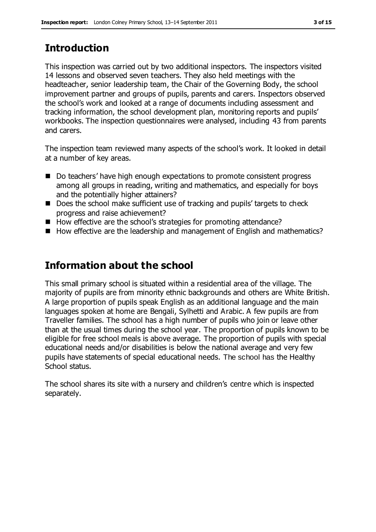# **Introduction**

This inspection was carried out by two additional inspectors. The inspectors visited 14 lessons and observed seven teachers. They also held meetings with the headteacher, senior leadership team, the Chair of the Governing Body, the school improvement partner and groups of pupils, parents and carers. Inspectors observed the school's work and looked at a range of documents including assessment and tracking information, the school development plan, monitoring reports and pupils' workbooks. The inspection questionnaires were analysed, including 43 from parents and carers.

The inspection team reviewed many aspects of the school's work. It looked in detail at a number of key areas.

- Do teachers' have high enough expectations to promote consistent progress among all groups in reading, writing and mathematics, and especially for boys and the potentially higher attainers?
- Does the school make sufficient use of tracking and pupils' targets to check progress and raise achievement?
- How effective are the school's strategies for promoting attendance?
- How effective are the leadership and management of English and mathematics?

# **Information about the school**

This small primary school is situated within a residential area of the village. The majority of pupils are from minority ethnic backgrounds and others are White British. A large proportion of pupils speak English as an additional language and the main languages spoken at home are Bengali, Sylhetti and Arabic. A few pupils are from Traveller families. The school has a high number of pupils who join or leave other than at the usual times during the school year. The proportion of pupils known to be eligible for free school meals is above average. The proportion of pupils with special educational needs and/or disabilities is below the national average and very few pupils have statements of special educational needs. The school has the Healthy School status.

The school shares its site with a nursery and children's centre which is inspected separately.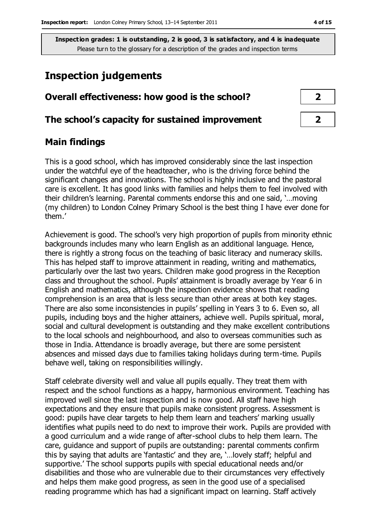## **Inspection judgements**

| Overall effectiveness: how good is the school?  |  |
|-------------------------------------------------|--|
| The school's capacity for sustained improvement |  |

## **Main findings**

This is a good school, which has improved considerably since the last inspection under the watchful eye of the headteacher, who is the driving force behind the significant changes and innovations. The school is highly inclusive and the pastoral care is excellent. It has good links with families and helps them to feel involved with their children's learning. Parental comments endorse this and one said, '…moving (my children) to London Colney Primary School is the best thing I have ever done for them.'

Achievement is good. The school's very high proportion of pupils from minority ethnic backgrounds includes many who learn English as an additional language. Hence, there is rightly a strong focus on the teaching of basic literacy and numeracy skills. This has helped staff to improve attainment in reading, writing and mathematics, particularly over the last two years. Children make good progress in the Reception class and throughout the school. Pupils' attainment is broadly average by Year 6 in English and mathematics, although the inspection evidence shows that reading comprehension is an area that is less secure than other areas at both key stages. There are also some inconsistencies in pupils' spelling in Years 3 to 6. Even so, all pupils, including boys and the higher attainers, achieve well. Pupils spiritual, moral, social and cultural development is outstanding and they make excellent contributions to the local schools and neighbourhood, and also to overseas communities such as those in India. Attendance is broadly average, but there are some persistent absences and missed days due to families taking holidays during term-time. Pupils behave well, taking on responsibilities willingly.

Staff celebrate diversity well and value all pupils equally. They treat them with respect and the school functions as a happy, harmonious environment. Teaching has improved well since the last inspection and is now good. All staff have high expectations and they ensure that pupils make consistent progress. Assessment is good: pupils have clear targets to help them learn and teachers' marking usually identifies what pupils need to do next to improve their work. Pupils are provided with a good curriculum and a wide range of after-school clubs to help them learn. The care, guidance and support of pupils are outstanding: parental comments confirm this by saying that adults are 'fantastic' and they are, '…lovely staff; helpful and supportive.' The school supports pupils with special educational needs and/or disabilities and those who are vulnerable due to their circumstances very effectively and helps them make good progress, as seen in the good use of a specialised reading programme which has had a significant impact on learning. Staff actively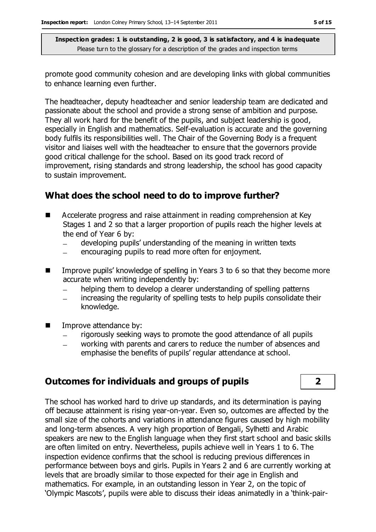promote good community cohesion and are developing links with global communities to enhance learning even further.

The headteacher, deputy headteacher and senior leadership team are dedicated and passionate about the school and provide a strong sense of ambition and purpose. They all work hard for the benefit of the pupils, and subject leadership is good, especially in English and mathematics. Self-evaluation is accurate and the governing body fulfils its responsibilities well. The Chair of the Governing Body is a frequent visitor and liaises well with the headteacher to ensure that the governors provide good critical challenge for the school. Based on its good track record of improvement, rising standards and strong leadership, the school has good capacity to sustain improvement.

## **What does the school need to do to improve further?**

- Accelerate progress and raise attainment in reading comprehension at Key Stages 1 and 2 so that a larger proportion of pupils reach the higher levels at the end of Year 6 by:
	- developing pupils' understanding of the meaning in written texts
	- encouraging pupils to read more often for enjoyment.  $\frac{1}{2}$
- Improve pupils' knowledge of spelling in Years 3 to 6 so that they become more accurate when writing independently by:
	- helping them to develop a clearer understanding of spelling patterns
	- increasing the regularity of spelling tests to help pupils consolidate their knowledge.
- **IMPROVE attendance by:** 
	- rigorously seeking ways to promote the good attendance of all pupils  $\equiv$
	- working with parents and carers to reduce the number of absences and emphasise the benefits of pupils' regular attendance at school.

## **Outcomes for individuals and groups of pupils 2**

The school has worked hard to drive up standards, and its determination is paying off because attainment is rising year-on-year. Even so, outcomes are affected by the small size of the cohorts and variations in attendance figures caused by high mobility and long-term absences. A very high proportion of Bengali, Sylhetti and Arabic speakers are new to the English language when they first start school and basic skills are often limited on entry. Nevertheless, pupils achieve well in Years 1 to 6. The inspection evidence confirms that the school is reducing previous differences in performance between boys and girls. Pupils in Years 2 and 6 are currently working at levels that are broadly similar to those expected for their age in English and mathematics. For example, in an outstanding lesson in Year 2, on the topic of 'Olympic Mascots', pupils were able to discuss their ideas animatedly in a 'think-pair-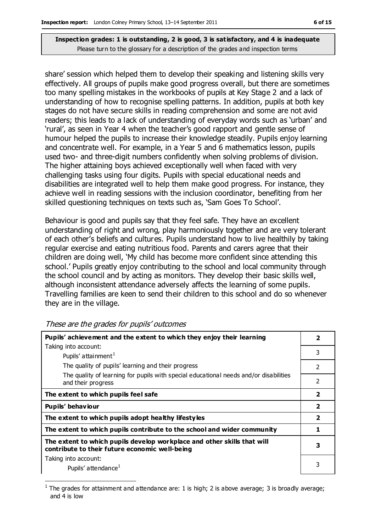share' session which helped them to develop their speaking and listening skills very effectively. All groups of pupils make good progress overall, but there are sometimes too many spelling mistakes in the workbooks of pupils at Key Stage 2 and a lack of understanding of how to recognise spelling patterns. In addition, pupils at both key stages do not have secure skills in reading comprehension and some are not avid readers; this leads to a lack of understanding of everyday words such as 'urban' and 'rural', as seen in Year 4 when the teacher's good rapport and gentle sense of humour helped the pupils to increase their knowledge steadily. Pupils enjoy learning and concentrate well. For example, in a Year 5 and 6 mathematics lesson, pupils used two- and three-digit numbers confidently when solving problems of division. The higher attaining boys achieved exceptionally well when faced with very challenging tasks using four digits. Pupils with special educational needs and disabilities are integrated well to help them make good progress. For instance, they achieve well in reading sessions with the inclusion coordinator, benefiting from her skilled questioning techniques on texts such as, 'Sam Goes To School'.

Behaviour is good and pupils say that they feel safe. They have an excellent understanding of right and wrong, play harmoniously together and are very tolerant of each other's beliefs and cultures. Pupils understand how to live healthily by taking regular exercise and eating nutritious food. Parents and carers agree that their children are doing well, 'My child has become more confident since attending this school.' Pupils greatly enjoy contributing to the school and local community through the school council and by acting as monitors. They develop their basic skills well, although inconsistent attendance adversely affects the learning of some pupils. Travelling families are keen to send their children to this school and do so whenever they are in the village.

| Pupils' achievement and the extent to which they enjoy their learning                                                     |                         |
|---------------------------------------------------------------------------------------------------------------------------|-------------------------|
| Taking into account:                                                                                                      | 3                       |
| Pupils' attainment <sup>1</sup>                                                                                           |                         |
| The quality of pupils' learning and their progress                                                                        | $\mathfrak{p}$          |
| The quality of learning for pupils with special educational needs and/or disabilities<br>and their progress               | $\overline{2}$          |
| The extent to which pupils feel safe                                                                                      |                         |
| Pupils' behaviour                                                                                                         |                         |
| The extent to which pupils adopt healthy lifestyles                                                                       | $\overline{\mathbf{2}}$ |
| The extent to which pupils contribute to the school and wider community                                                   |                         |
| The extent to which pupils develop workplace and other skills that will<br>contribute to their future economic well-being |                         |
| Taking into account:                                                                                                      |                         |
| Pupils' attendance <sup>1</sup>                                                                                           | 3                       |

#### These are the grades for pupils' outcomes

 $\overline{a}$ 1 The grades for attainment and attendance are: 1 is high; 2 is above average; 3 is broadly average; and 4 is low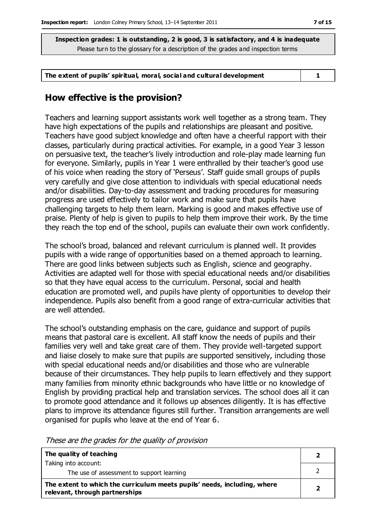#### **The extent of pupils' spiritual, moral, social and cultural development 1**

#### **How effective is the provision?**

Teachers and learning support assistants work well together as a strong team. They have high expectations of the pupils and relationships are pleasant and positive. Teachers have good subject knowledge and often have a cheerful rapport with their classes, particularly during practical activities. For example, in a good Year 3 lesson on persuasive text, the teacher's lively introduction and role-play made learning fun for everyone. Similarly, pupils in Year 1 were enthralled by their teacher's good use of his voice when reading the story of 'Perseus'. Staff guide small groups of pupils very carefully and give close attention to individuals with special educational needs and/or disabilities. Day-to-day assessment and tracking procedures for measuring progress are used effectively to tailor work and make sure that pupils have challenging targets to help them learn. Marking is good and makes effective use of praise. Plenty of help is given to pupils to help them improve their work. By the time they reach the top end of the school, pupils can evaluate their own work confidently.

The school's broad, balanced and relevant curriculum is planned well. It provides pupils with a wide range of opportunities based on a themed approach to learning. There are good links between subjects such as English, science and geography. Activities are adapted well for those with special educational needs and/or disabilities so that they have equal access to the curriculum. Personal, social and health education are promoted well, and pupils have plenty of opportunities to develop their independence. Pupils also benefit from a good range of extra-curricular activities that are well attended.

The school's outstanding emphasis on the care, guidance and support of pupils means that pastoral care is excellent. All staff know the needs of pupils and their families very well and take great care of them. They provide well-targeted support and liaise closely to make sure that pupils are supported sensitively, including those with special educational needs and/or disabilities and those who are vulnerable because of their circumstances. They help pupils to learn effectively and they support many families from minority ethnic backgrounds who have little or no knowledge of English by providing practical help and translation services. The school does all it can to promote good attendance and it follows up absences diligently. It is has effective plans to improve its attendance figures still further. Transition arrangements are well organised for pupils who leave at the end of Year 6.

| The quality of teaching                                                                                    |   |
|------------------------------------------------------------------------------------------------------------|---|
| Taking into account:<br>The use of assessment to support learning                                          |   |
| The extent to which the curriculum meets pupils' needs, including, where<br>relevant, through partnerships | י |

These are the grades for the quality of provision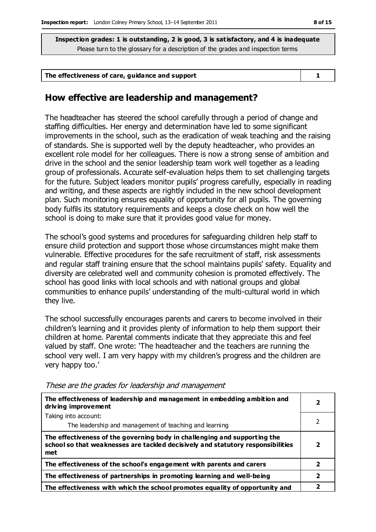#### **How effective are leadership and management?**

The headteacher has steered the school carefully through a period of change and staffing difficulties. Her energy and determination have led to some significant improvements in the school, such as the eradication of weak teaching and the raising of standards. She is supported well by the deputy headteacher, who provides an excellent role model for her colleagues. There is now a strong sense of ambition and drive in the school and the senior leadership team work well together as a leading group of professionals. Accurate self-evaluation helps them to set challenging targets for the future. Subject leaders monitor pupils' progress carefully, especially in reading and writing, and these aspects are rightly included in the new school development plan. Such monitoring ensures equality of opportunity for all pupils. The governing body fulfils its statutory requirements and keeps a close check on how well the school is doing to make sure that it provides good value for money.

The school's good systems and procedures for safeguarding children help staff to ensure child protection and support those whose circumstances might make them vulnerable. Effective procedures for the safe recruitment of staff, risk assessments and regular staff training ensure that the school maintains pupils' safety. Equality and diversity are celebrated well and community cohesion is promoted effectively. The school has good links with local schools and with national groups and global communities to enhance pupils' understanding of the multi-cultural world in which they live.

The school successfully encourages parents and carers to become involved in their children's learning and it provides plenty of information to help them support their children at home. Parental comments indicate that they appreciate this and feel valued by staff. One wrote: 'The headteacher and the teachers are running the school very well. I am very happy with my children's progress and the children are very happy too.'

| The effectiveness of leadership and management in embedding ambition and<br>driving improvement                                                                     |   |
|---------------------------------------------------------------------------------------------------------------------------------------------------------------------|---|
| Taking into account:                                                                                                                                                |   |
| The leadership and management of teaching and learning                                                                                                              |   |
| The effectiveness of the governing body in challenging and supporting the<br>school so that weaknesses are tackled decisively and statutory responsibilities<br>met | 2 |
| The effectiveness of the school's engagement with parents and carers                                                                                                | 2 |
| The effectiveness of partnerships in promoting learning and well-being                                                                                              | 2 |
| The effectiveness with which the school promotes equality of opportunity and                                                                                        | 7 |

These are the grades for leadership and management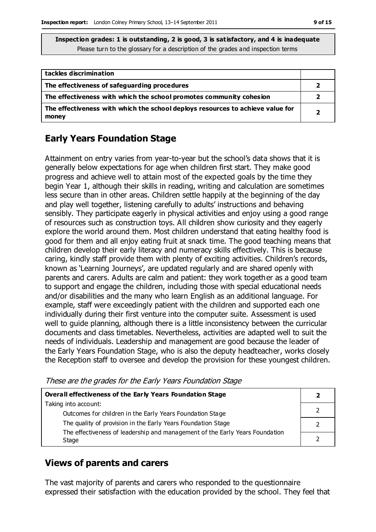| tackles discrimination                                                                  |   |
|-----------------------------------------------------------------------------------------|---|
| The effectiveness of safeguarding procedures                                            |   |
| The effectiveness with which the school promotes community cohesion                     |   |
| The effectiveness with which the school deploys resources to achieve value for<br>money | 7 |

## **Early Years Foundation Stage**

Attainment on entry varies from year-to-year but the school's data shows that it is generally below expectations for age when children first start. They make good progress and achieve well to attain most of the expected goals by the time they begin Year 1, although their skills in reading, writing and calculation are sometimes less secure than in other areas. Children settle happily at the beginning of the day and play well together, listening carefully to adults' instructions and behaving sensibly. They participate eagerly in physical activities and enjoy using a good range of resources such as construction toys. All children show curiosity and they eagerly explore the world around them. Most children understand that eating healthy food is good for them and all enjoy eating fruit at snack time. The good teaching means that children develop their early literacy and numeracy skills effectively. This is because caring, kindly staff provide them with plenty of exciting activities. Children's records, known as 'Learning Journeys', are updated regularly and are shared openly with parents and carers. Adults are calm and patient: they work together as a good team to support and engage the children, including those with special educational needs and/or disabilities and the many who learn English as an additional language. For example, staff were exceedingly patient with the children and supported each one individually during their first venture into the computer suite. Assessment is used well to guide planning, although there is a little inconsistency between the curricular documents and class timetables. Nevertheless, activities are adapted well to suit the needs of individuals. Leadership and management are good because the leader of the Early Years Foundation Stage, who is also the deputy headteacher, works closely the Reception staff to oversee and develop the provision for these youngest children.

These are the grades for the Early Years Foundation Stage

| <b>Overall effectiveness of the Early Years Foundation Stage</b>             |  |
|------------------------------------------------------------------------------|--|
| Taking into account:                                                         |  |
| Outcomes for children in the Early Years Foundation Stage                    |  |
| The quality of provision in the Early Years Foundation Stage                 |  |
| The effectiveness of leadership and management of the Early Years Foundation |  |
| Stage                                                                        |  |

## **Views of parents and carers**

The vast majority of parents and carers who responded to the questionnaire expressed their satisfaction with the education provided by the school. They feel that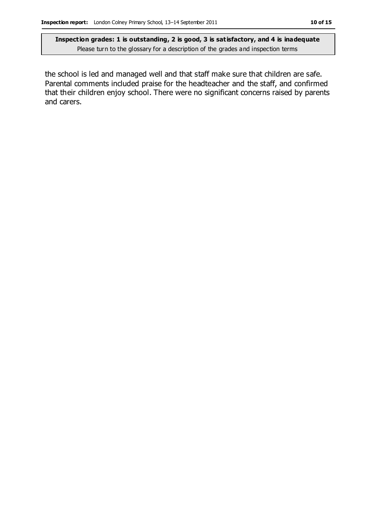the school is led and managed well and that staff make sure that children are safe. Parental comments included praise for the headteacher and the staff, and confirmed that their children enjoy school. There were no significant concerns raised by parents and carers.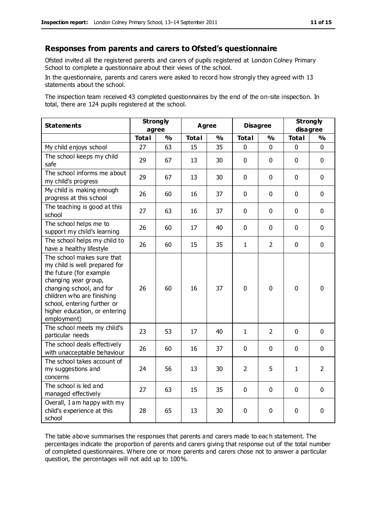#### **Responses from parents and carers to Ofsted's questionnaire**

Ofsted invited all the registered parents and carers of pupils registered at London Colney Primary School to complete a questionnaire about their views of the school.

In the questionnaire, parents and carers were asked to record how strongly they agreed with 13 statements about the school.

The inspection team received 43 completed questionnaires by the end of the on-site inspection. In total, there are 124 pupils registered at the school.

| <b>Statements</b>                                                                                                                                                                                                                                       | <b>Strongly</b><br>agree |               | <b>Agree</b> |               |                | <b>Disagree</b> |              | <b>Strongly</b><br>disagree |  |
|---------------------------------------------------------------------------------------------------------------------------------------------------------------------------------------------------------------------------------------------------------|--------------------------|---------------|--------------|---------------|----------------|-----------------|--------------|-----------------------------|--|
|                                                                                                                                                                                                                                                         | <b>Total</b>             | $\frac{1}{2}$ | <b>Total</b> | $\frac{1}{2}$ | <b>Total</b>   | $\frac{1}{2}$   | <b>Total</b> | $\frac{1}{2}$               |  |
| My child enjoys school                                                                                                                                                                                                                                  | 27                       | 63            | 15           | 35            | 0              | $\mathbf 0$     | $\mathbf 0$  | $\mathbf 0$                 |  |
| The school keeps my child<br>safe                                                                                                                                                                                                                       | 29                       | 67            | 13           | 30            | $\mathbf{0}$   | $\mathbf 0$     | $\mathbf 0$  | $\mathbf 0$                 |  |
| The school informs me about<br>my child's progress                                                                                                                                                                                                      | 29                       | 67            | 13           | 30            | $\mathbf 0$    | $\mathbf 0$     | $\mathbf 0$  | $\mathbf 0$                 |  |
| My child is making enough<br>progress at this school                                                                                                                                                                                                    | 26                       | 60            | 16           | 37            | 0              | 0               | $\mathbf 0$  | $\mathbf 0$                 |  |
| The teaching is good at this<br>school                                                                                                                                                                                                                  | 27                       | 63            | 16           | 37            | 0              | $\mathbf 0$     | $\mathbf 0$  | $\mathbf 0$                 |  |
| The school helps me to<br>support my child's learning                                                                                                                                                                                                   | 26                       | 60            | 17           | 40            | 0              | $\Omega$        | $\Omega$     | $\mathbf 0$                 |  |
| The school helps my child to<br>have a healthy lifestyle                                                                                                                                                                                                | 26                       | 60            | 15           | 35            | $\mathbf{1}$   | $\overline{2}$  | $\mathbf 0$  | $\mathbf 0$                 |  |
| The school makes sure that<br>my child is well prepared for<br>the future (for example<br>changing year group,<br>changing school, and for<br>children who are finishing<br>school, entering further or<br>higher education, or entering<br>employment) | 26                       | 60            | 16           | 37            | 0              | $\mathbf 0$     | $\mathbf{0}$ | 0                           |  |
| The school meets my child's<br>particular needs                                                                                                                                                                                                         | 23                       | 53            | 17           | 40            | $\mathbf{1}$   | $\overline{2}$  | $\mathbf 0$  | $\mathbf 0$                 |  |
| The school deals effectively<br>with unacceptable behaviour                                                                                                                                                                                             | 26                       | 60            | 16           | 37            | 0              | 0               | $\mathbf 0$  | $\mathbf 0$                 |  |
| The school takes account of<br>my suggestions and<br>concerns                                                                                                                                                                                           | 24                       | 56            | 13           | 30            | $\overline{2}$ | 5               | $\mathbf{1}$ | $\overline{2}$              |  |
| The school is led and<br>managed effectively                                                                                                                                                                                                            | 27                       | 63            | 15           | 35            | $\pmb{0}$      | $\mathbf 0$     | $\mathbf 0$  | $\mathbf 0$                 |  |
| Overall, I am happy with my<br>child's experience at this<br>school                                                                                                                                                                                     | 28                       | 65            | 13           | 30            | 0              | 0               | $\mathbf 0$  | 0                           |  |

The table above summarises the responses that parents and carers made to eac h statement. The percentages indicate the proportion of parents and carers giving that response out of the total number of completed questionnaires. Where one or more parents and carers chose not to answer a particular question, the percentages will not add up to 100%.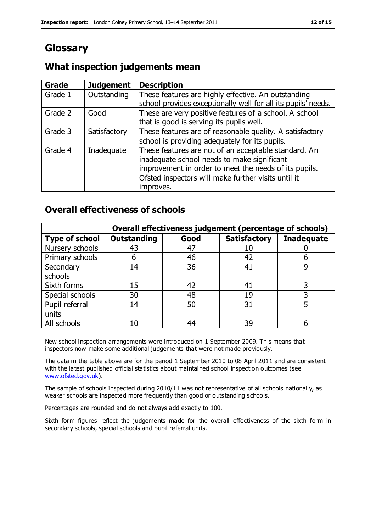# **Glossary**

## **What inspection judgements mean**

| Grade   | <b>Judgement</b> | <b>Description</b>                                            |
|---------|------------------|---------------------------------------------------------------|
| Grade 1 | Outstanding      | These features are highly effective. An outstanding           |
|         |                  | school provides exceptionally well for all its pupils' needs. |
| Grade 2 | Good             | These are very positive features of a school. A school        |
|         |                  | that is good is serving its pupils well.                      |
| Grade 3 | Satisfactory     | These features are of reasonable quality. A satisfactory      |
|         |                  | school is providing adequately for its pupils.                |
| Grade 4 | Inadequate       | These features are not of an acceptable standard. An          |
|         |                  | inadequate school needs to make significant                   |
|         |                  | improvement in order to meet the needs of its pupils.         |
|         |                  | Ofsted inspectors will make further visits until it           |
|         |                  | improves.                                                     |

## **Overall effectiveness of schools**

|                       | Overall effectiveness judgement (percentage of schools) |      |                     |                   |  |
|-----------------------|---------------------------------------------------------|------|---------------------|-------------------|--|
| <b>Type of school</b> | <b>Outstanding</b>                                      | Good | <b>Satisfactory</b> | <b>Inadequate</b> |  |
| Nursery schools       | 43                                                      | 47   | 10                  |                   |  |
| Primary schools       | h                                                       | 46   | 42                  |                   |  |
| Secondary             | 14                                                      | 36   | 41                  |                   |  |
| schools               |                                                         |      |                     |                   |  |
| Sixth forms           | 15                                                      | 42   | 41                  |                   |  |
| Special schools       | 30                                                      | 48   | 19                  |                   |  |
| Pupil referral        | 14                                                      | 50   | 31                  |                   |  |
| units                 |                                                         |      |                     |                   |  |
| All schools           | 10                                                      | 44   | 39                  |                   |  |

New school inspection arrangements were introduced on 1 September 2009. This means that inspectors now make some additional judgements that were not made previously.

The data in the table above are for the period 1 September 2010 to 08 April 2011 and are consistent with the latest published official statistics about maintained school inspection outcomes (see [www.ofsted.gov.uk\)](http://www.ofsted.gov.uk/).

The sample of schools inspected during 2010/11 was not representative of all schools nationally, as weaker schools are inspected more frequently than good or outstanding schools.

Percentages are rounded and do not always add exactly to 100.

Sixth form figures reflect the judgements made for the overall effectiveness of the sixth form in secondary schools, special schools and pupil referral units.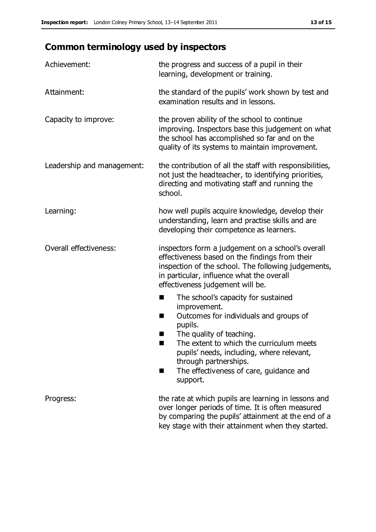# **Common terminology used by inspectors**

| Achievement:                  | the progress and success of a pupil in their<br>learning, development or training.                                                                                                                                                                                                                                           |
|-------------------------------|------------------------------------------------------------------------------------------------------------------------------------------------------------------------------------------------------------------------------------------------------------------------------------------------------------------------------|
| Attainment:                   | the standard of the pupils' work shown by test and<br>examination results and in lessons.                                                                                                                                                                                                                                    |
| Capacity to improve:          | the proven ability of the school to continue<br>improving. Inspectors base this judgement on what<br>the school has accomplished so far and on the<br>quality of its systems to maintain improvement.                                                                                                                        |
| Leadership and management:    | the contribution of all the staff with responsibilities,<br>not just the headteacher, to identifying priorities,<br>directing and motivating staff and running the<br>school.                                                                                                                                                |
| Learning:                     | how well pupils acquire knowledge, develop their<br>understanding, learn and practise skills and are<br>developing their competence as learners.                                                                                                                                                                             |
| <b>Overall effectiveness:</b> | inspectors form a judgement on a school's overall<br>effectiveness based on the findings from their<br>inspection of the school. The following judgements,<br>in particular, influence what the overall<br>effectiveness judgement will be.                                                                                  |
|                               | The school's capacity for sustained<br>■<br>improvement.<br>Outcomes for individuals and groups of<br>H<br>pupils.<br>The quality of teaching.<br>The extent to which the curriculum meets<br>pupils' needs, including, where relevant,<br>through partnerships.<br>The effectiveness of care, guidance and<br>٠<br>support. |
| Progress:                     | the rate at which pupils are learning in lessons and<br>over longer periods of time. It is often measured<br>by comparing the pupils' attainment at the end of a<br>key stage with their attainment when they started.                                                                                                       |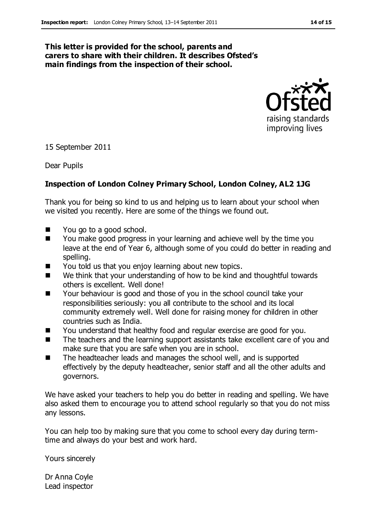#### **This letter is provided for the school, parents and carers to share with their children. It describes Ofsted's main findings from the inspection of their school.**



15 September 2011

Dear Pupils

#### **Inspection of London Colney Primary School, London Colney, AL2 1JG**

Thank you for being so kind to us and helping us to learn about your school when we visited you recently. Here are some of the things we found out.

- You go to a good school.
- You make good progress in your learning and achieve well by the time you leave at the end of Year 6, although some of you could do better in reading and spelling.
- You told us that you enjoy learning about new topics.
- We think that your understanding of how to be kind and thoughtful towards others is excellent. Well done!
- Your behaviour is good and those of you in the school council take your responsibilities seriously: you all contribute to the school and its local community extremely well. Well done for raising money for children in other countries such as India.
- You understand that healthy food and regular exercise are good for you.
- The teachers and the learning support assistants take excellent care of you and make sure that you are safe when you are in school.
- The headteacher leads and manages the school well, and is supported effectively by the deputy headteacher, senior staff and all the other adults and governors.

We have asked your teachers to help you do better in reading and spelling. We have also asked them to encourage you to attend school regularly so that you do not miss any lessons.

You can help too by making sure that you come to school every day during termtime and always do your best and work hard.

Yours sincerely

Dr Anna Coyle Lead inspector